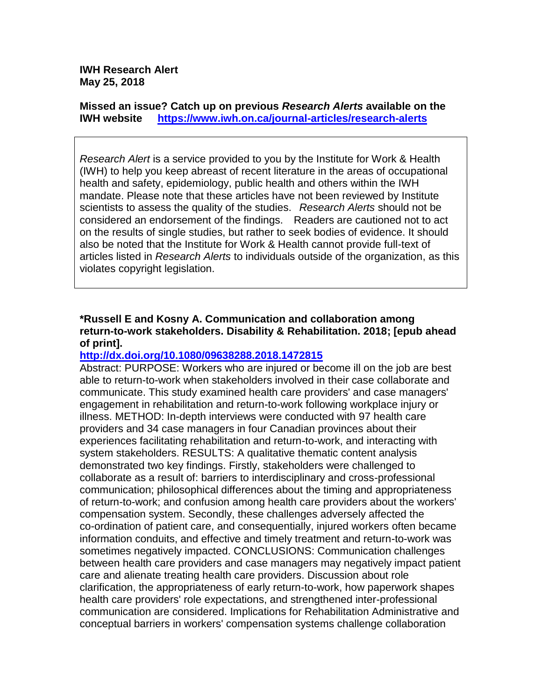#### **Missed an issue? Catch up on previous** *Research Alerts* **available on the [IWH website](http://www.iwh.on.ca/research-alerts) <https://www.iwh.on.ca/journal-articles/research-alerts>**

*Research Alert* is a service provided to you by the Institute for Work & Health (IWH) to help you keep abreast of recent literature in the areas of occupational health and safety, epidemiology, public health and others within the IWH mandate. Please note that these articles have not been reviewed by Institute scientists to assess the quality of the studies. *Research Alerts* should not be considered an endorsement of the findings. Readers are cautioned not to act on the results of single studies, but rather to seek bodies of evidence. It should also be noted that the Institute for Work & Health cannot provide full-text of articles listed in *Research Alerts* to individuals outside of the organization, as this violates copyright legislation.

## **\*Russell E and Kosny A. Communication and collaboration among return-to-work stakeholders. Disability & Rehabilitation. 2018; [epub ahead of print].**

### **<http://dx.doi.org/10.1080/09638288.2018.1472815>**

Abstract: PURPOSE: Workers who are injured or become ill on the job are best able to return-to-work when stakeholders involved in their case collaborate and communicate. This study examined health care providers' and case managers' engagement in rehabilitation and return-to-work following workplace injury or illness. METHOD: In-depth interviews were conducted with 97 health care providers and 34 case managers in four Canadian provinces about their experiences facilitating rehabilitation and return-to-work, and interacting with system stakeholders. RESULTS: A qualitative thematic content analysis demonstrated two key findings. Firstly, stakeholders were challenged to collaborate as a result of: barriers to interdisciplinary and cross-professional communication; philosophical differences about the timing and appropriateness of return-to-work; and confusion among health care providers about the workers' compensation system. Secondly, these challenges adversely affected the co-ordination of patient care, and consequentially, injured workers often became information conduits, and effective and timely treatment and return-to-work was sometimes negatively impacted. CONCLUSIONS: Communication challenges between health care providers and case managers may negatively impact patient care and alienate treating health care providers. Discussion about role clarification, the appropriateness of early return-to-work, how paperwork shapes health care providers' role expectations, and strengthened inter-professional communication are considered. Implications for Rehabilitation Administrative and conceptual barriers in workers' compensation systems challenge collaboration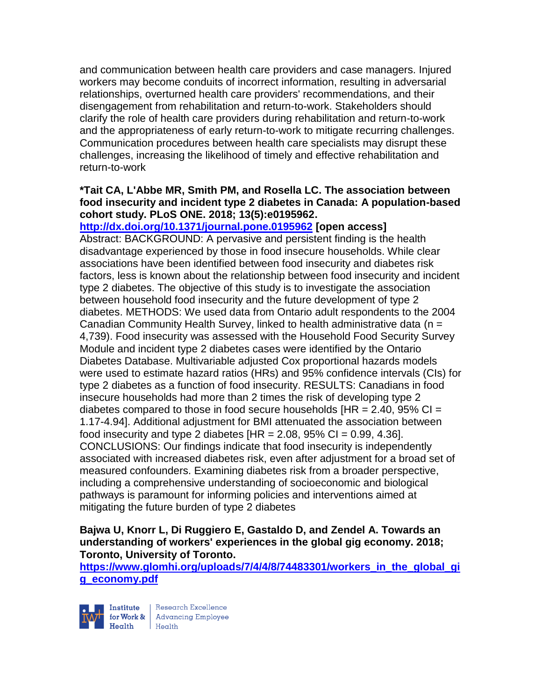and communication between health care providers and case managers. Injured workers may become conduits of incorrect information, resulting in adversarial relationships, overturned health care providers' recommendations, and their disengagement from rehabilitation and return-to-work. Stakeholders should clarify the role of health care providers during rehabilitation and return-to-work and the appropriateness of early return-to-work to mitigate recurring challenges. Communication procedures between health care specialists may disrupt these challenges, increasing the likelihood of timely and effective rehabilitation and return-to-work

## **\*Tait CA, L'Abbe MR, Smith PM, and Rosella LC. The association between food insecurity and incident type 2 diabetes in Canada: A population-based cohort study. PLoS ONE. 2018; 13(5):e0195962.**

**<http://dx.doi.org/10.1371/journal.pone.0195962> [open access]** Abstract: BACKGROUND: A pervasive and persistent finding is the health disadvantage experienced by those in food insecure households. While clear associations have been identified between food insecurity and diabetes risk factors, less is known about the relationship between food insecurity and incident type 2 diabetes. The objective of this study is to investigate the association between household food insecurity and the future development of type 2 diabetes. METHODS: We used data from Ontario adult respondents to the 2004 Canadian Community Health Survey, linked to health administrative data ( $n =$ 4,739). Food insecurity was assessed with the Household Food Security Survey Module and incident type 2 diabetes cases were identified by the Ontario Diabetes Database. Multivariable adjusted Cox proportional hazards models were used to estimate hazard ratios (HRs) and 95% confidence intervals (CIs) for type 2 diabetes as a function of food insecurity. RESULTS: Canadians in food insecure households had more than 2 times the risk of developing type 2 diabetes compared to those in food secure households  $[HR = 2.40, 95\% CI =$ 1.17-4.94]. Additional adjustment for BMI attenuated the association between food insecurity and type 2 diabetes  $[HR = 2.08, 95\% \text{ Cl} = 0.99, 4.36].$ CONCLUSIONS: Our findings indicate that food insecurity is independently associated with increased diabetes risk, even after adjustment for a broad set of measured confounders. Examining diabetes risk from a broader perspective, including a comprehensive understanding of socioeconomic and biological pathways is paramount for informing policies and interventions aimed at mitigating the future burden of type 2 diabetes

# **Bajwa U, Knorr L, Di Ruggiero E, Gastaldo D, and Zendel A. Towards an understanding of workers' experiences in the global gig economy. 2018; Toronto, University of Toronto.**

**[https://www.glomhi.org/uploads/7/4/4/8/74483301/workers\\_in\\_the\\_global\\_gi](https://www.glomhi.org/uploads/7/4/4/8/74483301/workers_in_the_global_gig_economy.pdf) [g\\_economy.pdf](https://www.glomhi.org/uploads/7/4/4/8/74483301/workers_in_the_global_gig_economy.pdf)**



**Institute** Research Excellence for Work & Advancing Employee  $H$ ealth  $H$ ealth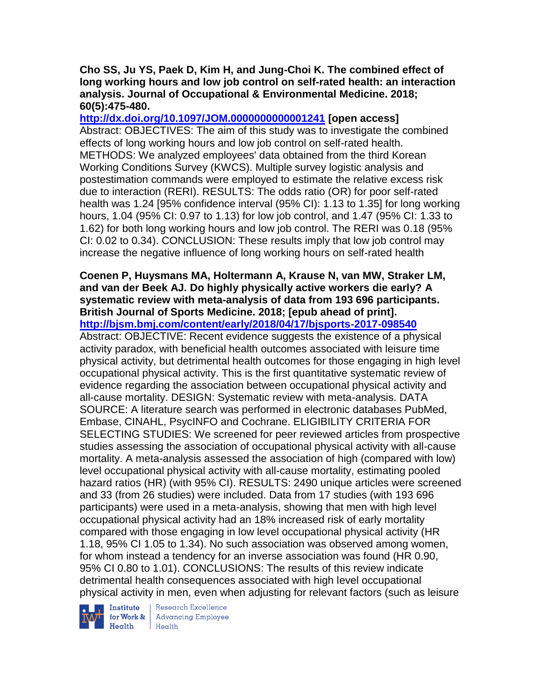**Cho SS, Ju YS, Paek D, Kim H, and Jung-Choi K. The combined effect of long working hours and low job control on self-rated health: an interaction analysis. Journal of Occupational & Environmental Medicine. 2018; 60(5):475-480.** 

**<http://dx.doi.org/10.1097/JOM.0000000000001241> [open access]** Abstract: OBJECTIVES: The aim of this study was to investigate the combined effects of long working hours and low job control on self-rated health. METHODS: We analyzed employees' data obtained from the third Korean Working Conditions Survey (KWCS). Multiple survey logistic analysis and postestimation commands were employed to estimate the relative excess risk due to interaction (RERI). RESULTS: The odds ratio (OR) for poor self-rated health was 1.24 [95% confidence interval (95% CI): 1.13 to 1.35] for long working hours, 1.04 (95% CI: 0.97 to 1.13) for low job control, and 1.47 (95% CI: 1.33 to 1.62) for both long working hours and low job control. The RERI was 0.18 (95% CI: 0.02 to 0.34). CONCLUSION: These results imply that low job control may increase the negative influence of long working hours on self-rated health

**Coenen P, Huysmans MA, Holtermann A, Krause N, van MW, Straker LM, and van der Beek AJ. Do highly physically active workers die early? A systematic review with meta-analysis of data from 193 696 participants. British Journal of Sports Medicine. 2018; [epub ahead of print]. <http://bjsm.bmj.com/content/early/2018/04/17/bjsports-2017-098540>** Abstract: OBJECTIVE: Recent evidence suggests the existence of a physical activity paradox, with beneficial health outcomes associated with leisure time physical activity, but detrimental health outcomes for those engaging in high level occupational physical activity. This is the first quantitative systematic review of evidence regarding the association between occupational physical activity and all-cause mortality. DESIGN: Systematic review with meta-analysis. DATA SOURCE: A literature search was performed in electronic databases PubMed, Embase, CINAHL, PsycINFO and Cochrane. ELIGIBILITY CRITERIA FOR SELECTING STUDIES: We screened for peer reviewed articles from prospective studies assessing the association of occupational physical activity with all-cause mortality. A meta-analysis assessed the association of high (compared with low) level occupational physical activity with all-cause mortality, estimating pooled hazard ratios (HR) (with 95% CI). RESULTS: 2490 unique articles were screened and 33 (from 26 studies) were included. Data from 17 studies (with 193 696 participants) were used in a meta-analysis, showing that men with high level occupational physical activity had an 18% increased risk of early mortality compared with those engaging in low level occupational physical activity (HR 1.18, 95% CI 1.05 to 1.34). No such association was observed among women, for whom instead a tendency for an inverse association was found (HR 0.90, 95% CI 0.80 to 1.01). CONCLUSIONS: The results of this review indicate detrimental health consequences associated with high level occupational physical activity in men, even when adjusting for relevant factors (such as leisure



Research Excellence for Work & | Advancing Employee  $H$ ealth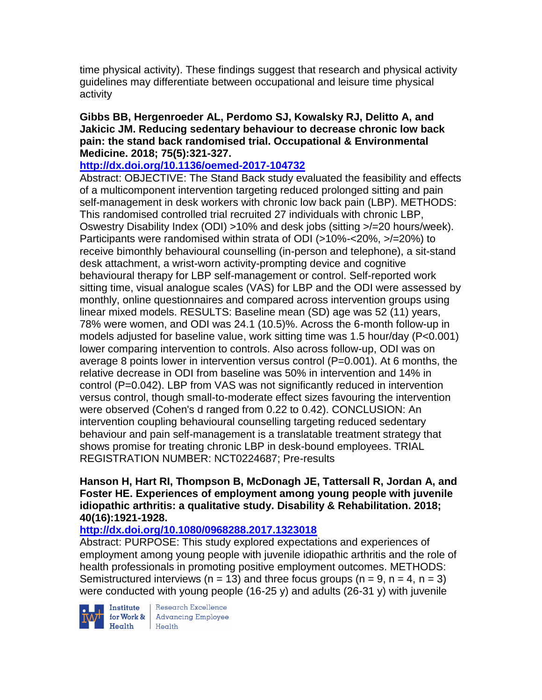time physical activity). These findings suggest that research and physical activity guidelines may differentiate between occupational and leisure time physical activity

#### **Gibbs BB, Hergenroeder AL, Perdomo SJ, Kowalsky RJ, Delitto A, and Jakicic JM. Reducing sedentary behaviour to decrease chronic low back pain: the stand back randomised trial. Occupational & Environmental Medicine. 2018; 75(5):321-327.**

## **<http://dx.doi.org/10.1136/oemed-2017-104732>**

Abstract: OBJECTIVE: The Stand Back study evaluated the feasibility and effects of a multicomponent intervention targeting reduced prolonged sitting and pain self-management in desk workers with chronic low back pain (LBP). METHODS: This randomised controlled trial recruited 27 individuals with chronic LBP, Oswestry Disability Index (ODI) >10% and desk jobs (sitting >/=20 hours/week). Participants were randomised within strata of ODI (>10%-<20%, >/=20%) to receive bimonthly behavioural counselling (in-person and telephone), a sit-stand desk attachment, a wrist-worn activity-prompting device and cognitive behavioural therapy for LBP self-management or control. Self-reported work sitting time, visual analogue scales (VAS) for LBP and the ODI were assessed by monthly, online questionnaires and compared across intervention groups using linear mixed models. RESULTS: Baseline mean (SD) age was 52 (11) years, 78% were women, and ODI was 24.1 (10.5)%. Across the 6-month follow-up in models adjusted for baseline value, work sitting time was 1.5 hour/day (P<0.001) lower comparing intervention to controls. Also across follow-up, ODI was on average 8 points lower in intervention versus control (P=0.001). At 6 months, the relative decrease in ODI from baseline was 50% in intervention and 14% in control (P=0.042). LBP from VAS was not significantly reduced in intervention versus control, though small-to-moderate effect sizes favouring the intervention were observed (Cohen's d ranged from 0.22 to 0.42). CONCLUSION: An intervention coupling behavioural counselling targeting reduced sedentary behaviour and pain self-management is a translatable treatment strategy that shows promise for treating chronic LBP in desk-bound employees. TRIAL REGISTRATION NUMBER: NCT0224687; Pre-results

### **Hanson H, Hart RI, Thompson B, McDonagh JE, Tattersall R, Jordan A, and Foster HE. Experiences of employment among young people with juvenile idiopathic arthritis: a qualitative study. Disability & Rehabilitation. 2018; 40(16):1921-1928.**

**<http://dx.doi.org/10.1080/0968288.2017.1323018>**

Abstract: PURPOSE: This study explored expectations and experiences of employment among young people with juvenile idiopathic arthritis and the role of health professionals in promoting positive employment outcomes. METHODS: Semistructured interviews (n = 13) and three focus groups (n = 9, n = 4, n = 3) were conducted with young people (16-25 y) and adults (26-31 y) with juvenile



| Research Excellence for Work & Advancing Employee  $H_{\text{each}}$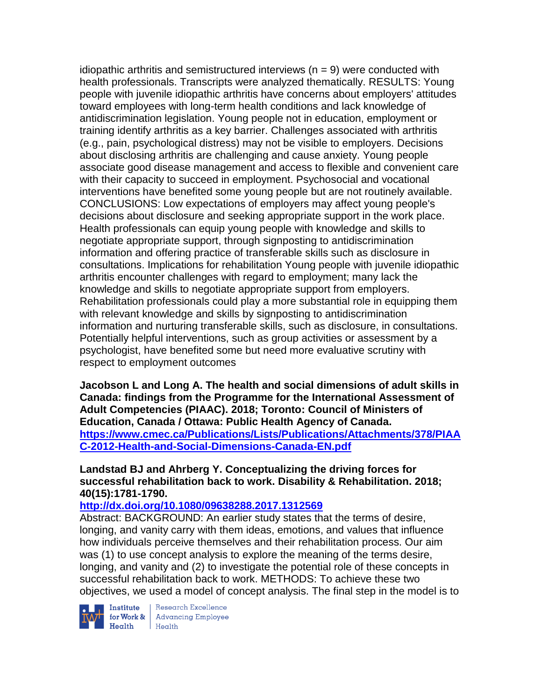idiopathic arthritis and semistructured interviews  $(n = 9)$  were conducted with health professionals. Transcripts were analyzed thematically. RESULTS: Young people with juvenile idiopathic arthritis have concerns about employers' attitudes toward employees with long-term health conditions and lack knowledge of antidiscrimination legislation. Young people not in education, employment or training identify arthritis as a key barrier. Challenges associated with arthritis (e.g., pain, psychological distress) may not be visible to employers. Decisions about disclosing arthritis are challenging and cause anxiety. Young people associate good disease management and access to flexible and convenient care with their capacity to succeed in employment. Psychosocial and vocational interventions have benefited some young people but are not routinely available. CONCLUSIONS: Low expectations of employers may affect young people's decisions about disclosure and seeking appropriate support in the work place. Health professionals can equip young people with knowledge and skills to negotiate appropriate support, through signposting to antidiscrimination information and offering practice of transferable skills such as disclosure in consultations. Implications for rehabilitation Young people with juvenile idiopathic arthritis encounter challenges with regard to employment; many lack the knowledge and skills to negotiate appropriate support from employers. Rehabilitation professionals could play a more substantial role in equipping them with relevant knowledge and skills by signposting to antidiscrimination information and nurturing transferable skills, such as disclosure, in consultations. Potentially helpful interventions, such as group activities or assessment by a psychologist, have benefited some but need more evaluative scrutiny with respect to employment outcomes

**Jacobson L and Long A. The health and social dimensions of adult skills in Canada: findings from the Programme for the International Assessment of Adult Competencies (PIAAC). 2018; Toronto: Council of Ministers of Education, Canada / Ottawa: Public Health Agency of Canada. [https://www.cmec.ca/Publications/Lists/Publications/Attachments/378/PIAA](https://www.cmec.ca/Publications/Lists/Publications/Attachments/378/PIAAC-2012-Health-and-Social-Dimensions-Canada-EN.pdf) [C-2012-Health-and-Social-Dimensions-Canada-EN.pdf](https://www.cmec.ca/Publications/Lists/Publications/Attachments/378/PIAAC-2012-Health-and-Social-Dimensions-Canada-EN.pdf)**

**Landstad BJ and Ahrberg Y. Conceptualizing the driving forces for successful rehabilitation back to work. Disability & Rehabilitation. 2018; 40(15):1781-1790.** 

#### **<http://dx.doi.org/10.1080/09638288.2017.1312569>**

Abstract: BACKGROUND: An earlier study states that the terms of desire, longing, and vanity carry with them ideas, emotions, and values that influence how individuals perceive themselves and their rehabilitation process. Our aim was (1) to use concept analysis to explore the meaning of the terms desire, longing, and vanity and (2) to investigate the potential role of these concepts in successful rehabilitation back to work. METHODS: To achieve these two objectives, we used a model of concept analysis. The final step in the model is to

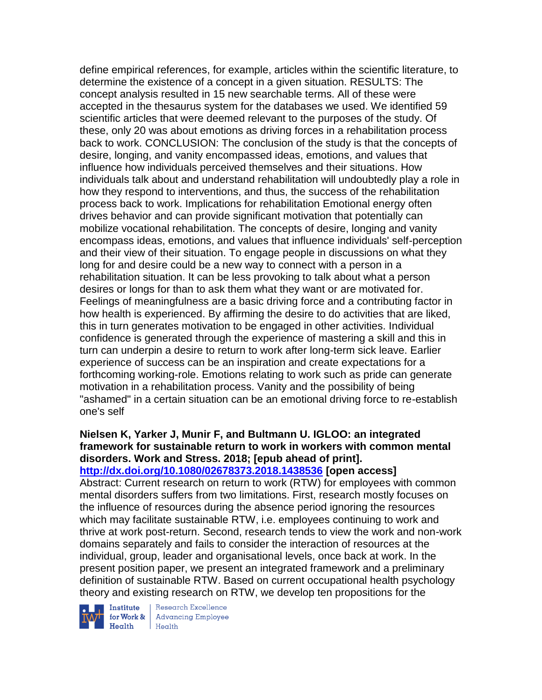define empirical references, for example, articles within the scientific literature, to determine the existence of a concept in a given situation. RESULTS: The concept analysis resulted in 15 new searchable terms. All of these were accepted in the thesaurus system for the databases we used. We identified 59 scientific articles that were deemed relevant to the purposes of the study. Of these, only 20 was about emotions as driving forces in a rehabilitation process back to work. CONCLUSION: The conclusion of the study is that the concepts of desire, longing, and vanity encompassed ideas, emotions, and values that influence how individuals perceived themselves and their situations. How individuals talk about and understand rehabilitation will undoubtedly play a role in how they respond to interventions, and thus, the success of the rehabilitation process back to work. Implications for rehabilitation Emotional energy often drives behavior and can provide significant motivation that potentially can mobilize vocational rehabilitation. The concepts of desire, longing and vanity encompass ideas, emotions, and values that influence individuals' self-perception and their view of their situation. To engage people in discussions on what they long for and desire could be a new way to connect with a person in a rehabilitation situation. It can be less provoking to talk about what a person desires or longs for than to ask them what they want or are motivated for. Feelings of meaningfulness are a basic driving force and a contributing factor in how health is experienced. By affirming the desire to do activities that are liked, this in turn generates motivation to be engaged in other activities. Individual confidence is generated through the experience of mastering a skill and this in turn can underpin a desire to return to work after long-term sick leave. Earlier experience of success can be an inspiration and create expectations for a forthcoming working-role. Emotions relating to work such as pride can generate motivation in a rehabilitation process. Vanity and the possibility of being "ashamed" in a certain situation can be an emotional driving force to re-establish one's self

### **Nielsen K, Yarker J, Munir F, and Bultmann U. IGLOO: an integrated framework for sustainable return to work in workers with common mental disorders. Work and Stress. 2018; [epub ahead of print].**

**<http://dx.doi.org/10.1080/02678373.2018.1438536> [open access]**

Abstract: Current research on return to work (RTW) for employees with common mental disorders suffers from two limitations. First, research mostly focuses on the influence of resources during the absence period ignoring the resources which may facilitate sustainable RTW, i.e. employees continuing to work and thrive at work post-return. Second, research tends to view the work and non-work domains separately and fails to consider the interaction of resources at the individual, group, leader and organisational levels, once back at work. In the present position paper, we present an integrated framework and a preliminary definition of sustainable RTW. Based on current occupational health psychology theory and existing research on RTW, we develop ten propositions for the



Research Excellence for Work & | Advancing Employee  $H$ ealth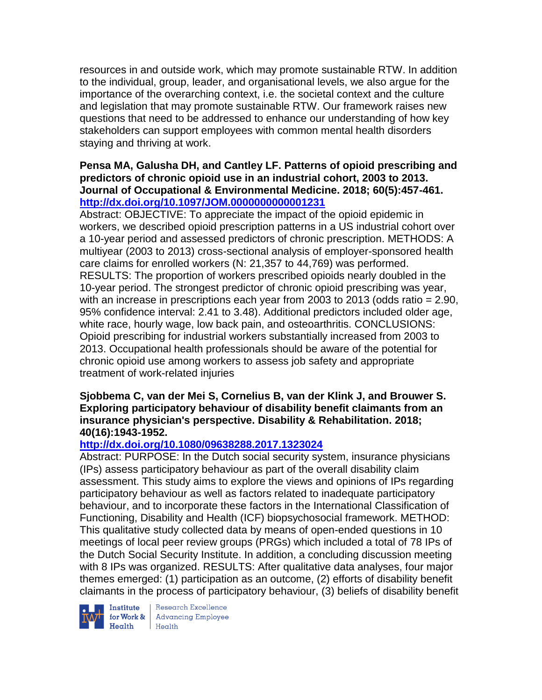resources in and outside work, which may promote sustainable RTW. In addition to the individual, group, leader, and organisational levels, we also argue for the importance of the overarching context, i.e. the societal context and the culture and legislation that may promote sustainable RTW. Our framework raises new questions that need to be addressed to enhance our understanding of how key stakeholders can support employees with common mental health disorders staying and thriving at work.

### **Pensa MA, Galusha DH, and Cantley LF. Patterns of opioid prescribing and predictors of chronic opioid use in an industrial cohort, 2003 to 2013. Journal of Occupational & Environmental Medicine. 2018; 60(5):457-461. <http://dx.doi.org/10.1097/JOM.0000000000001231>**

Abstract: OBJECTIVE: To appreciate the impact of the opioid epidemic in workers, we described opioid prescription patterns in a US industrial cohort over a 10-year period and assessed predictors of chronic prescription. METHODS: A multiyear (2003 to 2013) cross-sectional analysis of employer-sponsored health care claims for enrolled workers (N: 21,357 to 44,769) was performed. RESULTS: The proportion of workers prescribed opioids nearly doubled in the 10-year period. The strongest predictor of chronic opioid prescribing was year, with an increase in prescriptions each year from 2003 to 2013 (odds ratio = 2.90, 95% confidence interval: 2.41 to 3.48). Additional predictors included older age, white race, hourly wage, low back pain, and osteoarthritis. CONCLUSIONS: Opioid prescribing for industrial workers substantially increased from 2003 to 2013. Occupational health professionals should be aware of the potential for chronic opioid use among workers to assess job safety and appropriate treatment of work-related injuries

#### **Sjobbema C, van der Mei S, Cornelius B, van der Klink J, and Brouwer S. Exploring participatory behaviour of disability benefit claimants from an insurance physician's perspective. Disability & Rehabilitation. 2018; 40(16):1943-1952.**

# **<http://dx.doi.org/10.1080/09638288.2017.1323024>**

Abstract: PURPOSE: In the Dutch social security system, insurance physicians (IPs) assess participatory behaviour as part of the overall disability claim assessment. This study aims to explore the views and opinions of IPs regarding participatory behaviour as well as factors related to inadequate participatory behaviour, and to incorporate these factors in the International Classification of Functioning, Disability and Health (ICF) biopsychosocial framework. METHOD: This qualitative study collected data by means of open-ended questions in 10 meetings of local peer review groups (PRGs) which included a total of 78 IPs of the Dutch Social Security Institute. In addition, a concluding discussion meeting with 8 IPs was organized. RESULTS: After qualitative data analyses, four major themes emerged: (1) participation as an outcome, (2) efforts of disability benefit claimants in the process of participatory behaviour, (3) beliefs of disability benefit

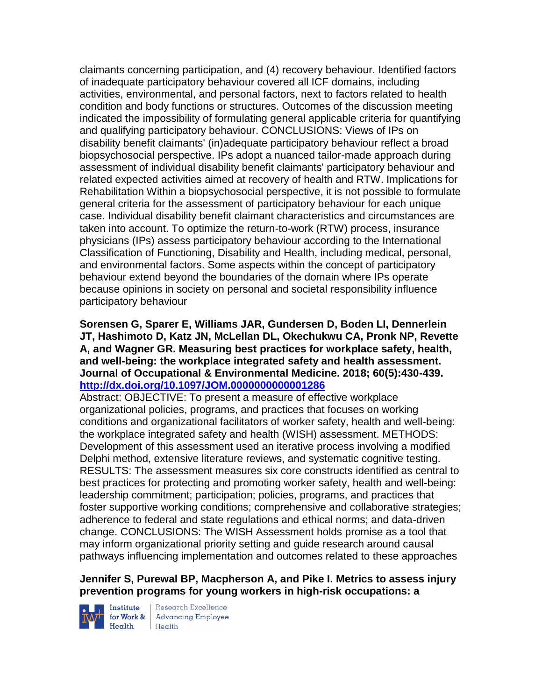claimants concerning participation, and (4) recovery behaviour. Identified factors of inadequate participatory behaviour covered all ICF domains, including activities, environmental, and personal factors, next to factors related to health condition and body functions or structures. Outcomes of the discussion meeting indicated the impossibility of formulating general applicable criteria for quantifying and qualifying participatory behaviour. CONCLUSIONS: Views of IPs on disability benefit claimants' (in)adequate participatory behaviour reflect a broad biopsychosocial perspective. IPs adopt a nuanced tailor-made approach during assessment of individual disability benefit claimants' participatory behaviour and related expected activities aimed at recovery of health and RTW. Implications for Rehabilitation Within a biopsychosocial perspective, it is not possible to formulate general criteria for the assessment of participatory behaviour for each unique case. Individual disability benefit claimant characteristics and circumstances are taken into account. To optimize the return-to-work (RTW) process, insurance physicians (IPs) assess participatory behaviour according to the International Classification of Functioning, Disability and Health, including medical, personal, and environmental factors. Some aspects within the concept of participatory behaviour extend beyond the boundaries of the domain where IPs operate because opinions in society on personal and societal responsibility influence participatory behaviour

#### **Sorensen G, Sparer E, Williams JAR, Gundersen D, Boden LI, Dennerlein JT, Hashimoto D, Katz JN, McLellan DL, Okechukwu CA, Pronk NP, Revette A, and Wagner GR. Measuring best practices for workplace safety, health, and well-being: the workplace integrated safety and health assessment. Journal of Occupational & Environmental Medicine. 2018; 60(5):430-439. <http://dx.doi.org/10.1097/JOM.0000000000001286>**

Abstract: OBJECTIVE: To present a measure of effective workplace organizational policies, programs, and practices that focuses on working conditions and organizational facilitators of worker safety, health and well-being: the workplace integrated safety and health (WISH) assessment. METHODS: Development of this assessment used an iterative process involving a modified Delphi method, extensive literature reviews, and systematic cognitive testing. RESULTS: The assessment measures six core constructs identified as central to best practices for protecting and promoting worker safety, health and well-being: leadership commitment; participation; policies, programs, and practices that foster supportive working conditions; comprehensive and collaborative strategies; adherence to federal and state regulations and ethical norms; and data-driven change. CONCLUSIONS: The WISH Assessment holds promise as a tool that may inform organizational priority setting and guide research around causal pathways influencing implementation and outcomes related to these approaches

# **Jennifer S, Purewal BP, Macpherson A, and Pike I. Metrics to assess injury prevention programs for young workers in high-risk occupations: a**



Research Excellence for Work & | Advancing Employee  $H$ ealth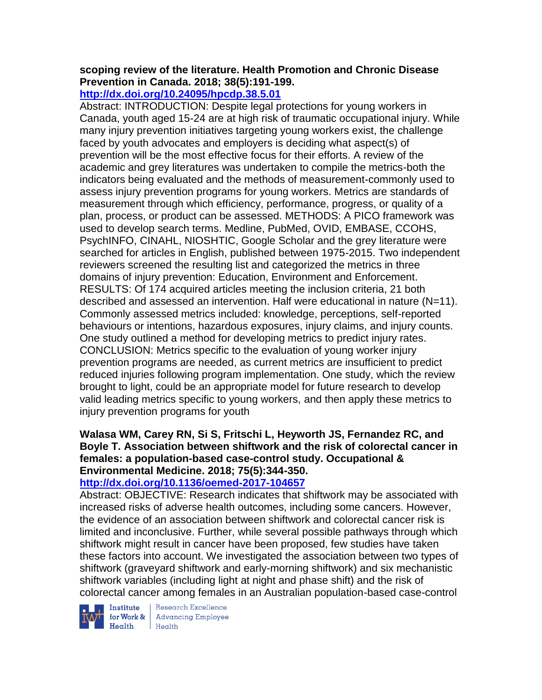# **scoping review of the literature. Health Promotion and Chronic Disease Prevention in Canada. 2018; 38(5):191-199.**

# **<http://dx.doi.org/10.24095/hpcdp.38.5.01>**

Abstract: INTRODUCTION: Despite legal protections for young workers in Canada, youth aged 15-24 are at high risk of traumatic occupational injury. While many injury prevention initiatives targeting young workers exist, the challenge faced by youth advocates and employers is deciding what aspect(s) of prevention will be the most effective focus for their efforts. A review of the academic and grey literatures was undertaken to compile the metrics-both the indicators being evaluated and the methods of measurement-commonly used to assess injury prevention programs for young workers. Metrics are standards of measurement through which efficiency, performance, progress, or quality of a plan, process, or product can be assessed. METHODS: A PICO framework was used to develop search terms. Medline, PubMed, OVID, EMBASE, CCOHS, PsychINFO, CINAHL, NIOSHTIC, Google Scholar and the grey literature were searched for articles in English, published between 1975-2015. Two independent reviewers screened the resulting list and categorized the metrics in three domains of injury prevention: Education, Environment and Enforcement. RESULTS: Of 174 acquired articles meeting the inclusion criteria, 21 both described and assessed an intervention. Half were educational in nature (N=11). Commonly assessed metrics included: knowledge, perceptions, self-reported behaviours or intentions, hazardous exposures, injury claims, and injury counts. One study outlined a method for developing metrics to predict injury rates. CONCLUSION: Metrics specific to the evaluation of young worker injury prevention programs are needed, as current metrics are insufficient to predict reduced injuries following program implementation. One study, which the review brought to light, could be an appropriate model for future research to develop valid leading metrics specific to young workers, and then apply these metrics to injury prevention programs for youth

# **Walasa WM, Carey RN, Si S, Fritschi L, Heyworth JS, Fernandez RC, and Boyle T. Association between shiftwork and the risk of colorectal cancer in females: a population-based case-control study. Occupational & Environmental Medicine. 2018; 75(5):344-350.**

### **<http://dx.doi.org/10.1136/oemed-2017-104657>**

Abstract: OBJECTIVE: Research indicates that shiftwork may be associated with increased risks of adverse health outcomes, including some cancers. However, the evidence of an association between shiftwork and colorectal cancer risk is limited and inconclusive. Further, while several possible pathways through which shiftwork might result in cancer have been proposed, few studies have taken these factors into account. We investigated the association between two types of shiftwork (graveyard shiftwork and early-morning shiftwork) and six mechanistic shiftwork variables (including light at night and phase shift) and the risk of colorectal cancer among females in an Australian population-based case-control



| Research Excellence for Work & | Advancing Employee  $H$ ealth